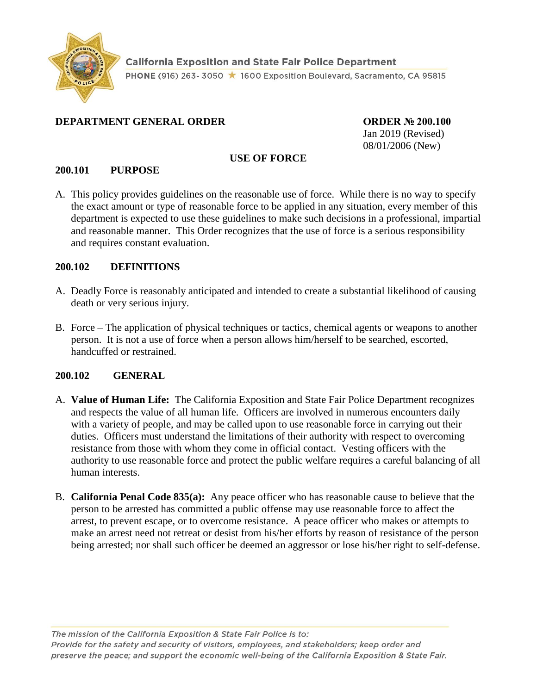

**California Exposition and State Fair Police Department** PHONE (916) 263-3050 ★ 1600 Exposition Boulevard, Sacramento, CA 95815

## **DEPARTMENT GENERAL ORDER ORDER № 200.100**

Jan 2019 (Revised) 08/01/2006 (New)

#### **USE OF FORCE**

### **200.101 PURPOSE**

A. This policy provides guidelines on the reasonable use of force. While there is no way to specify the exact amount or type of reasonable force to be applied in any situation, every member of this department is expected to use these guidelines to make such decisions in a professional, impartial and reasonable manner. This Order recognizes that the use of force is a serious responsibility and requires constant evaluation.

### **200.102 DEFINITIONS**

- A. Deadly Force is reasonably anticipated and intended to create a substantial likelihood of causing death or very serious injury.
- B. Force The application of physical techniques or tactics, chemical agents or weapons to another person. It is not a use of force when a person allows him/herself to be searched, escorted, handcuffed or restrained.

## **200.102 GENERAL**

- A. **Value of Human Life:** The California Exposition and State Fair Police Department recognizes and respects the value of all human life. Officers are involved in numerous encounters daily with a variety of people, and may be called upon to use reasonable force in carrying out their duties. Officers must understand the limitations of their authority with respect to overcoming resistance from those with whom they come in official contact. Vesting officers with the authority to use reasonable force and protect the public welfare requires a careful balancing of all human interests.
- B. **California Penal Code 835(a):** Any peace officer who has reasonable cause to believe that the person to be arrested has committed a public offense may use reasonable force to affect the arrest, to prevent escape, or to overcome resistance. A peace officer who makes or attempts to make an arrest need not retreat or desist from his/her efforts by reason of resistance of the person being arrested; nor shall such officer be deemed an aggressor or lose his/her right to self-defense.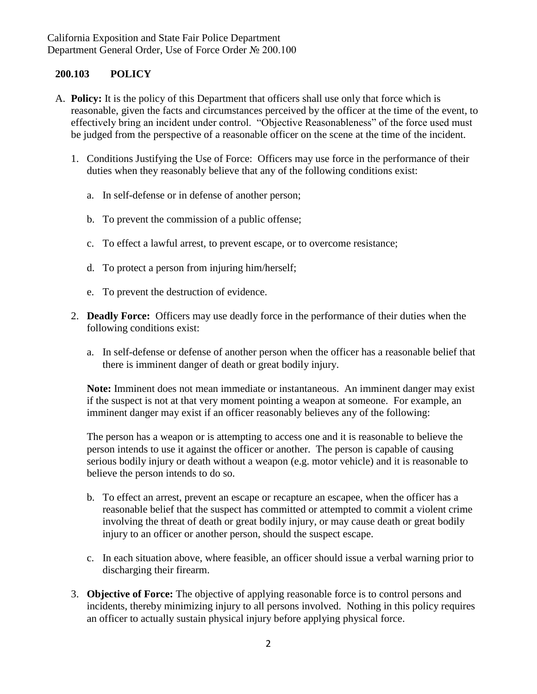## **200.103 POLICY**

- A. **Policy:** It is the policy of this Department that officers shall use only that force which is reasonable, given the facts and circumstances perceived by the officer at the time of the event, to effectively bring an incident under control. "Objective Reasonableness" of the force used must be judged from the perspective of a reasonable officer on the scene at the time of the incident.
	- 1. Conditions Justifying the Use of Force: Officers may use force in the performance of their duties when they reasonably believe that any of the following conditions exist:
		- a. In self-defense or in defense of another person;
		- b. To prevent the commission of a public offense;
		- c. To effect a lawful arrest, to prevent escape, or to overcome resistance;
		- d. To protect a person from injuring him/herself;
		- e. To prevent the destruction of evidence.
	- 2. **Deadly Force:** Officers may use deadly force in the performance of their duties when the following conditions exist:
		- a. In self-defense or defense of another person when the officer has a reasonable belief that there is imminent danger of death or great bodily injury.

**Note:** Imminent does not mean immediate or instantaneous. An imminent danger may exist if the suspect is not at that very moment pointing a weapon at someone. For example, an imminent danger may exist if an officer reasonably believes any of the following:

The person has a weapon or is attempting to access one and it is reasonable to believe the person intends to use it against the officer or another. The person is capable of causing serious bodily injury or death without a weapon (e.g. motor vehicle) and it is reasonable to believe the person intends to do so.

- b. To effect an arrest, prevent an escape or recapture an escapee, when the officer has a reasonable belief that the suspect has committed or attempted to commit a violent crime involving the threat of death or great bodily injury, or may cause death or great bodily injury to an officer or another person, should the suspect escape.
- c. In each situation above, where feasible, an officer should issue a verbal warning prior to discharging their firearm.
- 3. **Objective of Force:** The objective of applying reasonable force is to control persons and incidents, thereby minimizing injury to all persons involved. Nothing in this policy requires an officer to actually sustain physical injury before applying physical force.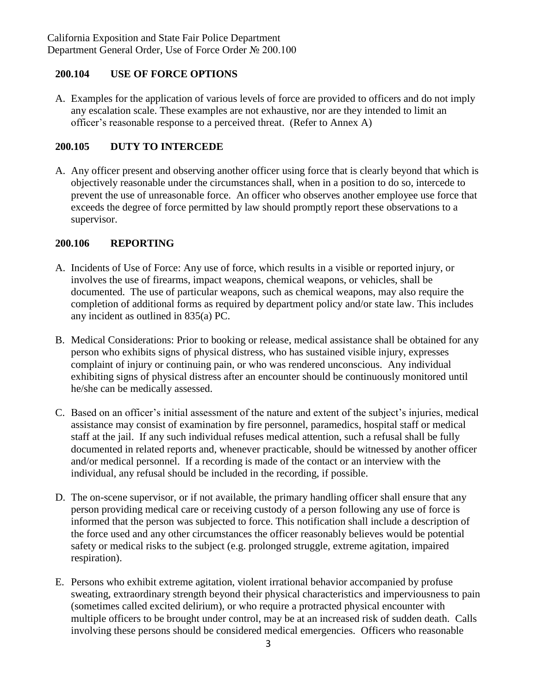# **200.104 USE OF FORCE OPTIONS**

A. Examples for the application of various levels of force are provided to officers and do not imply any escalation scale. These examples are not exhaustive, nor are they intended to limit an officer's reasonable response to a perceived threat. (Refer to Annex A)

# **200.105 DUTY TO INTERCEDE**

A. Any officer present and observing another officer using force that is clearly beyond that which is objectively reasonable under the circumstances shall, when in a position to do so, intercede to prevent the use of unreasonable force. An officer who observes another employee use force that exceeds the degree of force permitted by law should promptly report these observations to a supervisor.

## **200.106 REPORTING**

- A. Incidents of Use of Force: Any use of force, which results in a visible or reported injury, or involves the use of firearms, impact weapons, chemical weapons, or vehicles, shall be documented. The use of particular weapons, such as chemical weapons, may also require the completion of additional forms as required by department policy and/or state law. This includes any incident as outlined in 835(a) PC.
- B. Medical Considerations: Prior to booking or release, medical assistance shall be obtained for any person who exhibits signs of physical distress, who has sustained visible injury, expresses complaint of injury or continuing pain, or who was rendered unconscious. Any individual exhibiting signs of physical distress after an encounter should be continuously monitored until he/she can be medically assessed.
- C. Based on an officer's initial assessment of the nature and extent of the subject's injuries, medical assistance may consist of examination by fire personnel, paramedics, hospital staff or medical staff at the jail. If any such individual refuses medical attention, such a refusal shall be fully documented in related reports and, whenever practicable, should be witnessed by another officer and/or medical personnel. If a recording is made of the contact or an interview with the individual, any refusal should be included in the recording, if possible.
- D. The on-scene supervisor, or if not available, the primary handling officer shall ensure that any person providing medical care or receiving custody of a person following any use of force is informed that the person was subjected to force. This notification shall include a description of the force used and any other circumstances the officer reasonably believes would be potential safety or medical risks to the subject (e.g. prolonged struggle, extreme agitation, impaired respiration).
- E. Persons who exhibit extreme agitation, violent irrational behavior accompanied by profuse sweating, extraordinary strength beyond their physical characteristics and imperviousness to pain (sometimes called excited delirium), or who require a protracted physical encounter with multiple officers to be brought under control, may be at an increased risk of sudden death. Calls involving these persons should be considered medical emergencies. Officers who reasonable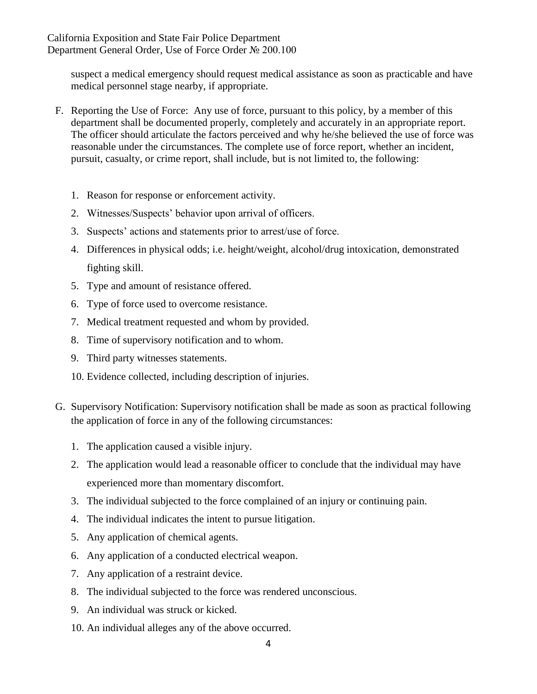suspect a medical emergency should request medical assistance as soon as practicable and have medical personnel stage nearby, if appropriate.

- F. Reporting the Use of Force: Any use of force, pursuant to this policy, by a member of this department shall be documented properly, completely and accurately in an appropriate report. The officer should articulate the factors perceived and why he/she believed the use of force was reasonable under the circumstances. The complete use of force report, whether an incident, pursuit, casualty, or crime report, shall include, but is not limited to, the following:
	- 1. Reason for response or enforcement activity.
	- 2. Witnesses/Suspects' behavior upon arrival of officers.
	- 3. Suspects' actions and statements prior to arrest/use of force.
	- 4. Differences in physical odds; i.e. height/weight, alcohol/drug intoxication, demonstrated fighting skill.
	- 5. Type and amount of resistance offered.
	- 6. Type of force used to overcome resistance.
	- 7. Medical treatment requested and whom by provided.
	- 8. Time of supervisory notification and to whom.
	- 9. Third party witnesses statements.
	- 10. Evidence collected, including description of injuries.
- G. Supervisory Notification: Supervisory notification shall be made as soon as practical following the application of force in any of the following circumstances:
	- 1. The application caused a visible injury.
	- 2. The application would lead a reasonable officer to conclude that the individual may have experienced more than momentary discomfort.
	- 3. The individual subjected to the force complained of an injury or continuing pain.
	- 4. The individual indicates the intent to pursue litigation.
	- 5. Any application of chemical agents.
	- 6. Any application of a conducted electrical weapon.
	- 7. Any application of a restraint device.
	- 8. The individual subjected to the force was rendered unconscious.
	- 9. An individual was struck or kicked.
	- 10. An individual alleges any of the above occurred.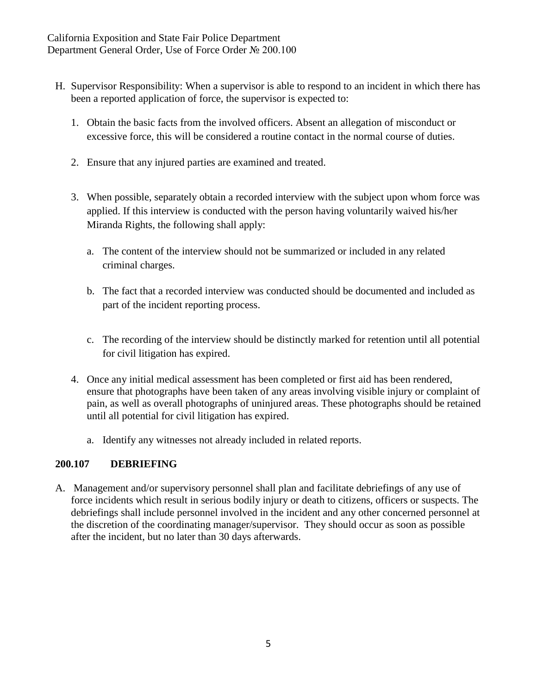- H. Supervisor Responsibility: When a supervisor is able to respond to an incident in which there has been a reported application of force, the supervisor is expected to:
	- 1. Obtain the basic facts from the involved officers. Absent an allegation of misconduct or excessive force, this will be considered a routine contact in the normal course of duties.
	- 2. Ensure that any injured parties are examined and treated.
	- 3. When possible, separately obtain a recorded interview with the subject upon whom force was applied. If this interview is conducted with the person having voluntarily waived his/her Miranda Rights, the following shall apply:
		- a. The content of the interview should not be summarized or included in any related criminal charges.
		- b. The fact that a recorded interview was conducted should be documented and included as part of the incident reporting process.
		- c. The recording of the interview should be distinctly marked for retention until all potential for civil litigation has expired.
	- 4. Once any initial medical assessment has been completed or first aid has been rendered, ensure that photographs have been taken of any areas involving visible injury or complaint of pain, as well as overall photographs of uninjured areas. These photographs should be retained until all potential for civil litigation has expired.
		- a. Identify any witnesses not already included in related reports.

## **200.107 DEBRIEFING**

A. Management and/or supervisory personnel shall plan and facilitate debriefings of any use of force incidents which result in serious bodily injury or death to citizens, officers or suspects. The debriefings shall include personnel involved in the incident and any other concerned personnel at the discretion of the coordinating manager/supervisor. They should occur as soon as possible after the incident, but no later than 30 days afterwards.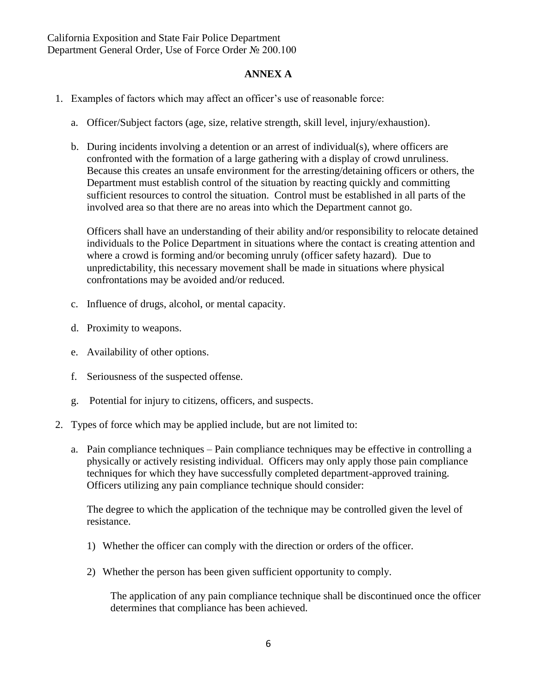#### **ANNEX A**

- 1. Examples of factors which may affect an officer's use of reasonable force:
	- a. Officer/Subject factors (age, size, relative strength, skill level, injury/exhaustion).
	- b. During incidents involving a detention or an arrest of individual(s), where officers are confronted with the formation of a large gathering with a display of crowd unruliness. Because this creates an unsafe environment for the arresting/detaining officers or others, the Department must establish control of the situation by reacting quickly and committing sufficient resources to control the situation. Control must be established in all parts of the involved area so that there are no areas into which the Department cannot go.

Officers shall have an understanding of their ability and/or responsibility to relocate detained individuals to the Police Department in situations where the contact is creating attention and where a crowd is forming and/or becoming unruly (officer safety hazard). Due to unpredictability, this necessary movement shall be made in situations where physical confrontations may be avoided and/or reduced.

- c. Influence of drugs, alcohol, or mental capacity.
- d. Proximity to weapons.
- e. Availability of other options.
- f. Seriousness of the suspected offense.
- g. Potential for injury to citizens, officers, and suspects.
- 2. Types of force which may be applied include, but are not limited to:
	- a. Pain compliance techniques Pain compliance techniques may be effective in controlling a physically or actively resisting individual. Officers may only apply those pain compliance techniques for which they have successfully completed department-approved training. Officers utilizing any pain compliance technique should consider:

The degree to which the application of the technique may be controlled given the level of resistance.

- 1) Whether the officer can comply with the direction or orders of the officer.
- 2) Whether the person has been given sufficient opportunity to comply.

The application of any pain compliance technique shall be discontinued once the officer determines that compliance has been achieved.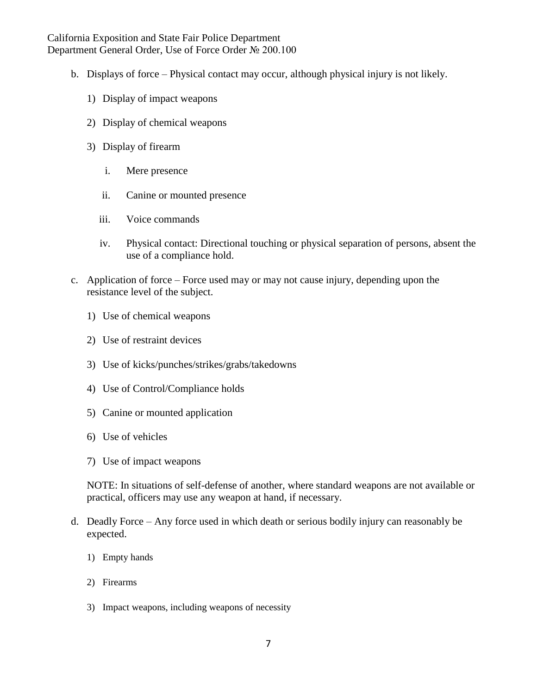California Exposition and State Fair Police Department Department General Order, Use of Force Order № 200.100

- b. Displays of force Physical contact may occur, although physical injury is not likely.
	- 1) Display of impact weapons
	- 2) Display of chemical weapons
	- 3) Display of firearm
		- i. Mere presence
		- ii. Canine or mounted presence
		- iii. Voice commands
		- iv. Physical contact: Directional touching or physical separation of persons, absent the use of a compliance hold.
- c. Application of force Force used may or may not cause injury, depending upon the resistance level of the subject.
	- 1) Use of chemical weapons
	- 2) Use of restraint devices
	- 3) Use of kicks/punches/strikes/grabs/takedowns
	- 4) Use of Control/Compliance holds
	- 5) Canine or mounted application
	- 6) Use of vehicles
	- 7) Use of impact weapons

NOTE: In situations of self-defense of another, where standard weapons are not available or practical, officers may use any weapon at hand, if necessary.

- d. Deadly Force Any force used in which death or serious bodily injury can reasonably be expected.
	- 1) Empty hands
	- 2) Firearms
	- 3) Impact weapons, including weapons of necessity